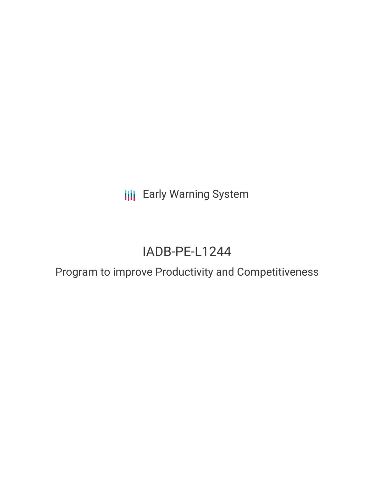**III** Early Warning System

# IADB-PE-L1244

Program to improve Productivity and Competitiveness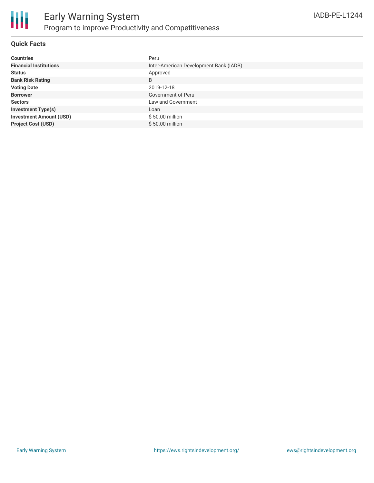

#### **Quick Facts**

| <b>Countries</b>               | Peru                                   |
|--------------------------------|----------------------------------------|
| <b>Financial Institutions</b>  | Inter-American Development Bank (IADB) |
| <b>Status</b>                  | Approved                               |
| <b>Bank Risk Rating</b>        | B                                      |
| <b>Voting Date</b>             | 2019-12-18                             |
| <b>Borrower</b>                | Government of Peru                     |
| <b>Sectors</b>                 | Law and Government                     |
| <b>Investment Type(s)</b>      | Loan                                   |
| <b>Investment Amount (USD)</b> | \$50.00 million                        |
| <b>Project Cost (USD)</b>      | $$50.00$ million                       |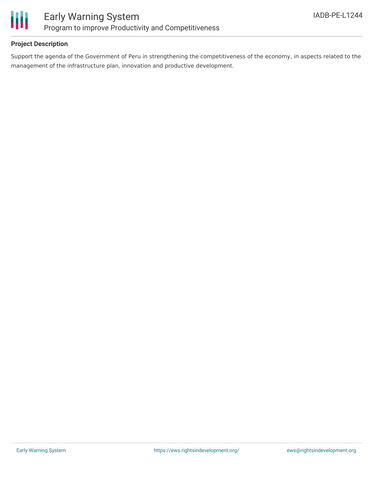

#### **Project Description**

Support the agenda of the Government of Peru in strengthening the competitiveness of the economy, in aspects related to the management of the infrastructure plan, innovation and productive development.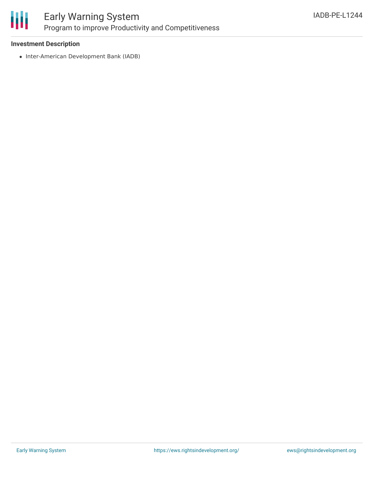

## Early Warning System Program to improve Productivity and Competitiveness

#### **Investment Description**

• Inter-American Development Bank (IADB)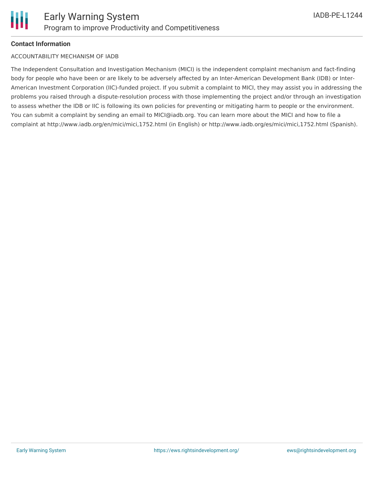#### **Contact Information**

#### ACCOUNTABILITY MECHANISM OF IADB

The Independent Consultation and Investigation Mechanism (MICI) is the independent complaint mechanism and fact-finding body for people who have been or are likely to be adversely affected by an Inter-American Development Bank (IDB) or Inter-American Investment Corporation (IIC)-funded project. If you submit a complaint to MICI, they may assist you in addressing the problems you raised through a dispute-resolution process with those implementing the project and/or through an investigation to assess whether the IDB or IIC is following its own policies for preventing or mitigating harm to people or the environment. You can submit a complaint by sending an email to MICI@iadb.org. You can learn more about the MICI and how to file a complaint at http://www.iadb.org/en/mici/mici,1752.html (in English) or http://www.iadb.org/es/mici/mici,1752.html (Spanish).